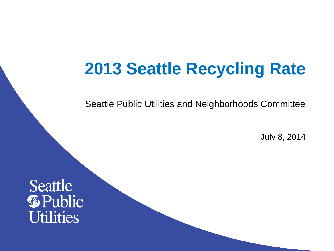#### **2013 Seattle Recycling Rate**

Seattle Public Utilities and Neighborhoods Committee

July 8, 2014

Seattle **S**Public **Utilities**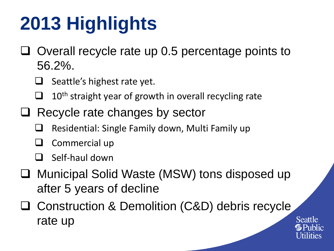# **2013 Highlights**

- $\Box$  Overall recycle rate up 0.5 percentage points to 56.2%.
	- $\Box$  Seattle's highest rate yet.
	- $\Box$  10<sup>th</sup> straight year of growth in overall recycling rate
- $\Box$  Recycle rate changes by sector
	- Residential: Single Family down, Multi Family up
	- $\Box$  Commercial up
	- Self-haul down
- □ Municipal Solid Waste (MSW) tons disposed up after 5 years of decline
- □ Construction & Demolition (C&D) debris recycle rate up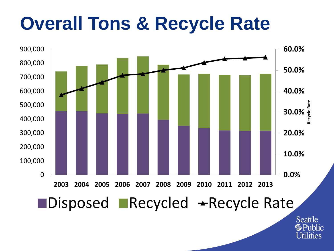### **Overall Tons & Recycle Rate**



Seattle **G** Public **Utilities**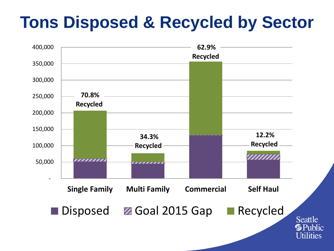#### **Tons Disposed & Recycled by Sector**

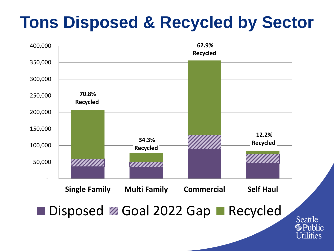#### **Tons Disposed & Recycled by Sector**

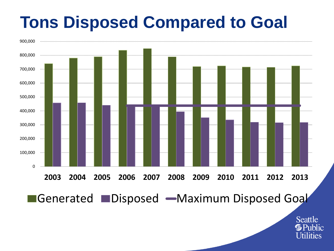#### **Tons Disposed Compared to Goal**

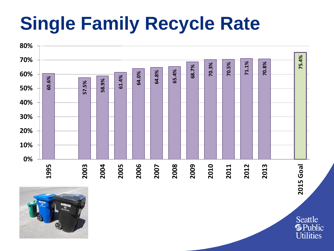## **Single Family Recycle Rate**





Seattle **S**Public **Utilities**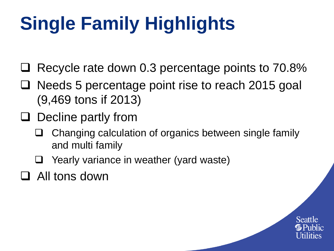# **Single Family Highlights**

- Recycle rate down 0.3 percentage points to 70.8%
- □ Needs 5 percentage point rise to reach 2015 goal (9,469 tons if 2013)
- $\Box$  Decline partly from
	- $\Box$  Changing calculation of organics between single family and multi family
	- $\Box$  Yearly variance in weather (yard waste)
- □ All tons down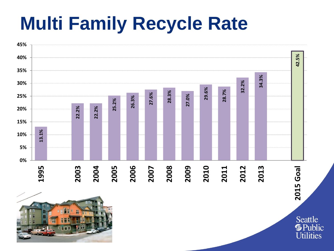### **Multi Family Recycle Rate**

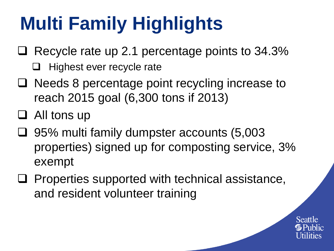# **Multi Family Highlights**

- $\Box$  Recycle rate up 2.1 percentage points to 34.3%
	- $\Box$  Highest ever recycle rate
- $\Box$  Needs 8 percentage point recycling increase to reach 2015 goal (6,300 tons if 2013)
- $\Box$  All tons up
- $\Box$  95% multi family dumpster accounts (5,003 properties) signed up for composting service, 3% exempt
- $\Box$  Properties supported with technical assistance, and resident volunteer training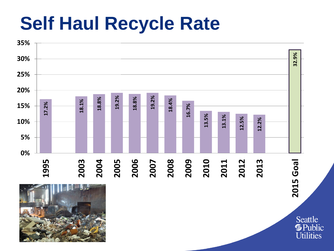#### **Self Haul Recycle Rate**

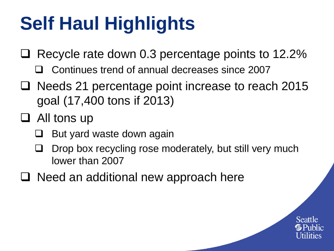# **Self Haul Highlights**

- $\Box$  Recycle rate down 0.3 percentage points to 12.2%
	- Continues trend of annual decreases since 2007
- $\Box$  Needs 21 percentage point increase to reach 2015 goal (17,400 tons if 2013)
- □ All tons up
	- But yard waste down again
	- Drop box recycling rose moderately, but still very much lower than 2007
- $\Box$  Need an additional new approach here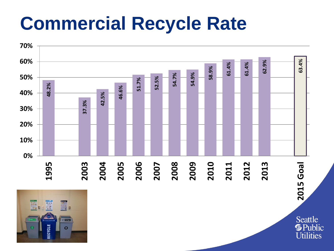#### **Commercial Recycle Rate**



Seattle **S**Public **Utilities**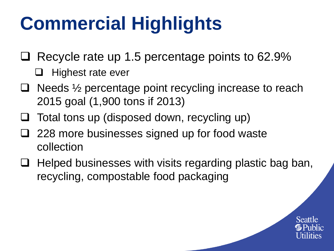## **Commercial Highlights**

- $\Box$  Recycle rate up 1.5 percentage points to 62.9%
	- $\Box$  Highest rate ever
- $\Box$  Needs  $\frac{1}{2}$  percentage point recycling increase to reach 2015 goal (1,900 tons if 2013)
- $\Box$  Total tons up (disposed down, recycling up)
- □ 228 more businesses signed up for food waste collection
- $\Box$  Helped businesses with visits regarding plastic bag ban, recycling, compostable food packaging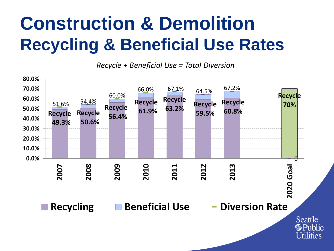#### **Construction & Demolition Recycling & Beneficial Use Rates**

*Recycle + Beneficial Use = Total Diversion*

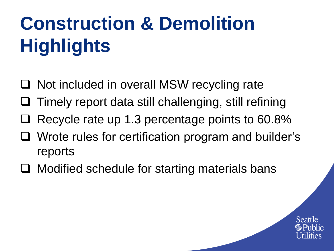# **Construction & Demolition Highlights**

- □ Not included in overall MSW recycling rate
- Timely report data still challenging, still refining
- Recycle rate up 1.3 percentage points to 60.8%
- Wrote rules for certification program and builder's reports
- $\Box$  Modified schedule for starting materials bans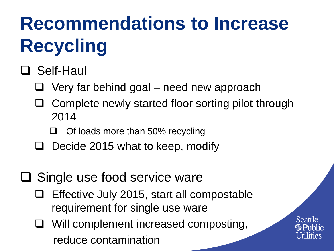# **Recommendations to Increase Recycling**

#### □ Self-Haul

- $\Box$  Very far behind goal need new approach
- Complete newly started floor sorting pilot through 2014
	- Of loads more than 50% recycling
- Decide 2015 what to keep, modify
- $\square$  Single use food service ware
	- $\Box$  Effective July 2015, start all compostable requirement for single use ware
		- Will complement increased composting, reduce contamination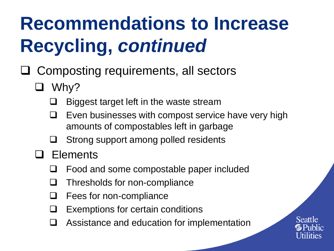## **Recommendations to Increase Recycling,** *continued*

- $\Box$  Composting requirements, all sectors
	- $\Box$  Why?
		- Biggest target left in the waste stream
		- Even businesses with compost service have very high amounts of compostables left in garbage
		- $\Box$  Strong support among polled residents
	- □ Elements
		- Food and some compostable paper included
		- $\Box$  Thresholds for non-compliance
		- Fees for non-compliance
		- Exemptions for certain conditions
		- Assistance and education for implementation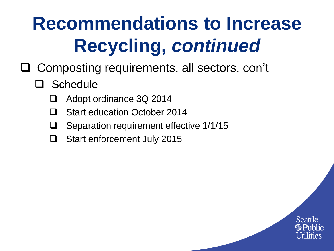## **Recommendations to Increase Recycling,** *continued*

- □ Composting requirements, all sectors, con't
	- □ Schedule
		- □ Adopt ordinance 3Q 2014
		- □ Start education October 2014
		- Separation requirement effective 1/1/15
		- □ Start enforcement July 2015